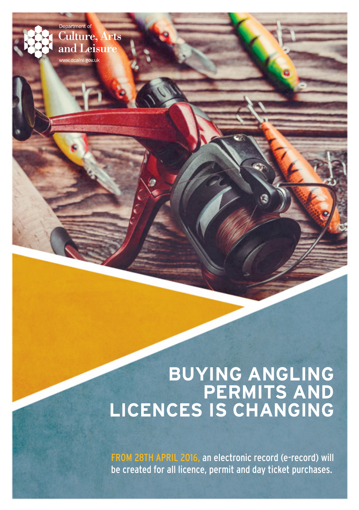# **BUYING ANGLING PERMITS AND LICENCES IS CHANGING**

Department of

**Culture, Arts** and Leisure www.dcalni.gov.ul

> FROM 28TH APRIL 2016, an electronic record (e-record) will be created for all licence, permit and day ticket purchases.